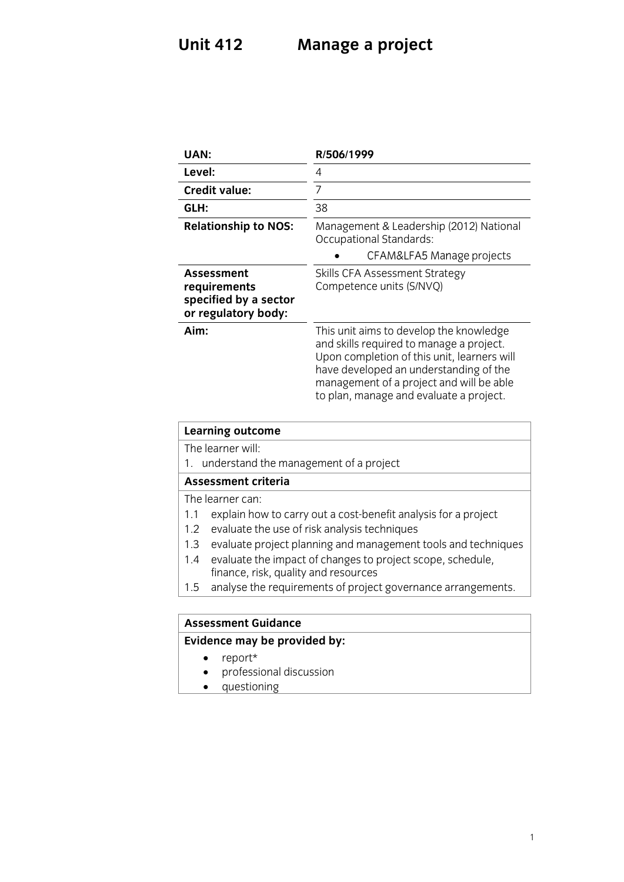### **Unit 412 U U Manage a project**

| UAN:                                                                       | R/506/1999                                                                                                                                                                                                                                                          |
|----------------------------------------------------------------------------|---------------------------------------------------------------------------------------------------------------------------------------------------------------------------------------------------------------------------------------------------------------------|
| Level:                                                                     | 4                                                                                                                                                                                                                                                                   |
| <b>Credit value:</b>                                                       | 7                                                                                                                                                                                                                                                                   |
| GLH:                                                                       | 38                                                                                                                                                                                                                                                                  |
| <b>Relationship to NOS:</b>                                                | Management & Leadership (2012) National<br>Occupational Standards:                                                                                                                                                                                                  |
|                                                                            | CFAM&LFA5 Manage projects                                                                                                                                                                                                                                           |
| Assessment<br>requirements<br>specified by a sector<br>or regulatory body: | Skills CFA Assessment Strategy<br>Competence units (S/NVQ)                                                                                                                                                                                                          |
| Aim:                                                                       | This unit aims to develop the knowledge<br>and skills required to manage a project.<br>Upon completion of this unit, learners will<br>have developed an understanding of the<br>management of a project and will be able<br>to plan, manage and evaluate a project. |

# **Learning outcome**<br>The learner will:

1. understand the management of a project

#### Assessment criteria

The learner can:

- 1.1 explain how to carry out a cost-benefit analysis for a project
- 1.2 evaluate the use of risk analysis techniques
- 1.3 evaluate project planning and management tools and techniques
- 1.4 evaluate the impact of changes to project scope, schedule, finance, risk, quality and resources
- $f(x)$  final requirements of projection  $\frac{1}{\sqrt{1-\frac{1}{\sqrt{1-\frac{1}{\sqrt{1-\frac{1}{\sqrt{1-\frac{1}{\sqrt{1-\frac{1}{\sqrt{1-\frac{1}{\sqrt{1-\frac{1}{\sqrt{1-\frac{1}{\sqrt{1-\frac{1}{\sqrt{1-\frac{1}{\sqrt{1-\frac{1}{\sqrt{1-\frac{1}{\sqrt{1-\frac{1}{\sqrt{1-\frac{1}{\sqrt{1-\frac{1}{\sqrt{1-\frac{1}{\sqrt{1-\frac{1}{\sqrt{1-\frac{1}{\sqrt{1-\frac{1}{\sqrt{1-\frac{1}{\sqrt{1-\frac{1}{\sqrt{1-\frac{1}{\sqrt{1-\frac{1}{\sqrt{1-\frac{1$

### **Assessment Guidance**

- **Evidence may be provided by:** • report\*<br>• professi
	- professional discussion<br>• questioning
	- questioning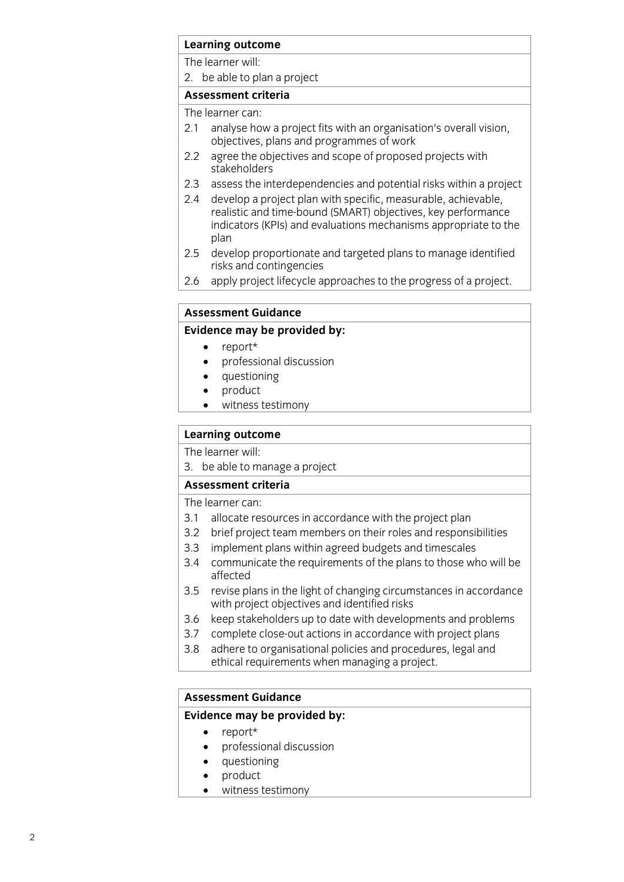## **Learning outcome**<br>The learner will:

2. be able to plan a project

### Assessment criteria

The learner can:

- 2.1 analyse how a project fits with an organisation's overall vision, objectives, plans and programmes of work
- agree the objectives and scope of proposed projects with  $2.2$ stake holders
- $2.3$ assess the interdependencies and potential risks within a project
- 2.4 develop a project plan with specific, measurable, achievable, realistic and time-bound (SMART) objectives, key performance indicators (KPIs) and evaluations mechanisms appropriate to the  $\mathsf{h}$  indicators (KPIs) and evaluations mechanisms appropriate to the theorem  $\mathsf{h}$  is the theorem  $\mathsf{h}$
- $2.5$ develop proportionate and targeted plans to manage identified risks and contingencies
- apply project lifecycle approaches to the progress of a project.  $\frac{1}{2}$  apply project lifecycle approximately of a projection of a projection of a project.

### **Assessment Guidance**

#### **Evidence may be provided by:**

- 
- **Evidence** may be proport that the many proportion of the proportion of the proportion of the proportion of the proportion of the proportion of the proportion of the proportion of the proportion of the proportion of the pr professional discussion
	- questioning
	- product
	- witness testimony

## **Learning outcome**<br>The learner will:

3. be able to manage a project

#### Assessment criteria

The learner can:

- 3.1 allocate resources in accordance with the project plan
- 3.2 brief project team members on their roles and responsibilities
- 3.3 implement plans within agreed budgets and timescales
- 3.4 communicate the requirements of the plans to those who will be  $\mathsf{a}\mathsf{f}\mathsf{f}\mathsf{e}\mathsf{c}\mathsf{t}\mathsf{e}\mathsf{d}$
- revise plans in the light of changing circumstances in accordance 3.5 revise plans in the light of changing circum<br>with project objectives and identified risks
- keep stakeholders up to date with developments and problems 3.6 keep stakeholders up to date with developments and probler<br>3.7 complete close-out actions in accordance with project plans
- 
- 3.8 adhere to organisational policies and procedures, legal and ethical requirements when managing a project ethical requirements when managing a project.

### **Assessment Guidance**

### **Assessment Guidance Evidence may be provided by:**

- 
- report\*<br>• profess professional discussion
- questioning<br>• product
- product<br>• witness
- witness testimony